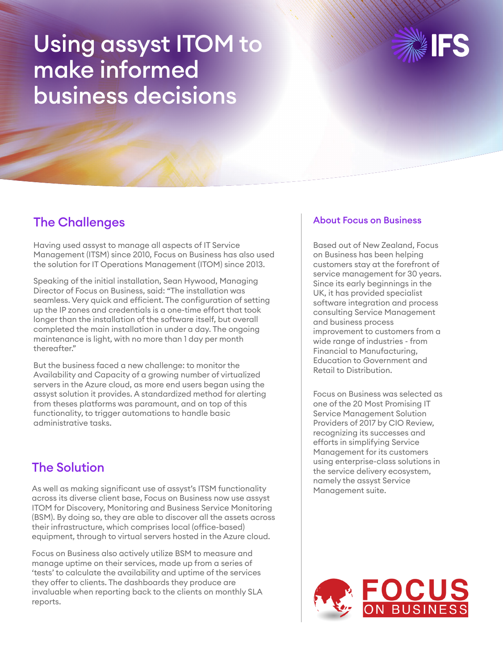# Using assyst ITOM to make informed business decisions



### The Challenges

Having used assyst to manage all aspects of IT Service Management (ITSM) since 2010, Focus on Business has also used the solution for IT Operations Management (ITOM) since 2013.

Speaking of the initial installation, Sean Hywood, Managing Director of Focus on Business, said: "The installation was seamless. Very quick and efficient. The configuration of setting up the IP zones and credentials is a one-time effort that took longer than the installation of the software itself, but overall completed the main installation in under a day. The ongoing maintenance is light, with no more than 1 day per month thereafter."

But the business faced a new challenge: to monitor the Availability and Capacity of a growing number of virtualized servers in the Azure cloud, as more end users began using the assyst solution it provides. A standardized method for alerting from theses platforms was paramount, and on top of this functionality, to trigger automations to handle basic administrative tasks.

## The Solution

As well as making significant use of assyst's ITSM functionality across its diverse client base, Focus on Business now use assyst ITOM for Discovery, Monitoring and Business Service Monitoring (BSM). By doing so, they are able to discover all the assets across their infrastructure, which comprises local (office-based) equipment, through to virtual servers hosted in the Azure cloud.

Focus on Business also actively utilize BSM to measure and manage uptime on their services, made up from a series of 'tests' to calculate the availability and uptime of the services they offer to clients. The dashboards they produce are invaluable when reporting back to the clients on monthly SLA reports.

#### About Focus on Business

Based out of New Zealand, Focus on Business has been helping customers stay at the forefront of service management for 30 years. Since its early beginnings in the UK, it has provided specialist software integration and process consulting Service Management and business process improvement to customers from a wide range of industries - from Financial to Manufacturing, Education to Government and Retail to Distribution.

Focus on Business was selected as one of the 20 Most Promising IT Service Management Solution Providers of 2017 by CIO Review, recognizing its successes and efforts in simplifying Service Management for its customers using enterprise-class solutions in the service delivery ecosystem, namely the assyst Service Management suite.